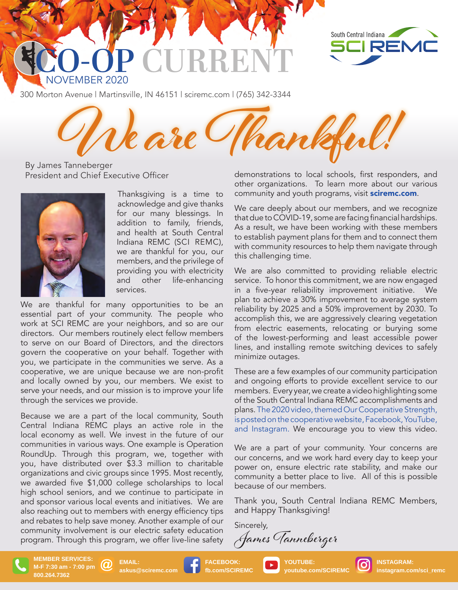



300 Morton Avenue | Martinsville, IN 46151 | sciremc.com | (765) 342-3344

**We are Thankful!** 

By James Tanneberger President and Chief Executive Officer



Thanksgiving is a time to acknowledge and give thanks for our many blessings. In addition to family, friends, and health at South Central Indiana REMC (SCI REMC), we are thankful for you, our members, and the privilege of providing you with electricity and other life-enhancing services.

We are thankful for many opportunities to be an essential part of your community. The people who work at SCI REMC are your neighbors, and so are our directors. Our members routinely elect fellow members to serve on our Board of Directors, and the directors govern the cooperative on your behalf. Together with you, we participate in the communities we serve. As a cooperative, we are unique because we are non-profit and locally owned by you, our members. We exist to serve your needs, and our mission is to improve your life through the services we provide.

Because we are a part of the local community, South Central Indiana REMC plays an active role in the local economy as well. We invest in the future of our communities in various ways. One example is Operation RoundUp. Through this program, we, together with you, have distributed over \$3.3 million to charitable organizations and civic groups since 1995. Most recently, we awarded five \$1,000 college scholarships to local high school seniors, and we continue to participate in and sponsor various local events and initiatives. We are also reaching out to members with energy efficiency tips and rebates to help save money. Another example of our community involvement is our electric safety education program. Through this program, we offer live-line safety demonstrations to local schools, first responders, and other organizations. To learn more about our various community and youth programs, visit sciremc.com.

We care deeply about our members, and we recognize that due to COVID-19, some are facing financial hardships. As a result, we have been working with these members to establish payment plans for them and to connect them with community resources to help them navigate through this challenging time.

We are also committed to providing reliable electric service. To honor this commitment, we are now engaged in a five-year reliability improvement initiative. We plan to achieve a 30% improvement to average system reliability by 2025 and a 50% improvement by 2030. To accomplish this, we are aggressively clearing vegetation from electric easements, relocating or burying some of the lowest-performing and least accessible power lines, and installing remote switching devices to safely minimize outages.

These are a few examples of our community participation and ongoing efforts to provide excellent service to our members. Every year, we create a video highlighting some of the South Central Indiana REMC accomplishments and plans. The 2020 video, themed Our Cooperative Strength, is posted on the cooperative website, Facebook, YouTube, and Instagram. We encourage you to view this video.

We are a part of your community. Your concerns are our concerns, and we work hard every day to keep your power on, ensure electric rate stability, and make our community a better place to live. All of this is possible because of our members.

Thank you, South Central Indiana REMC Members, and Happy Thanksgiving!

Sincerely, James Tanneberger



**EMAIL:**  (၇) **askus@sciremc.com** **FACEBOOK:**